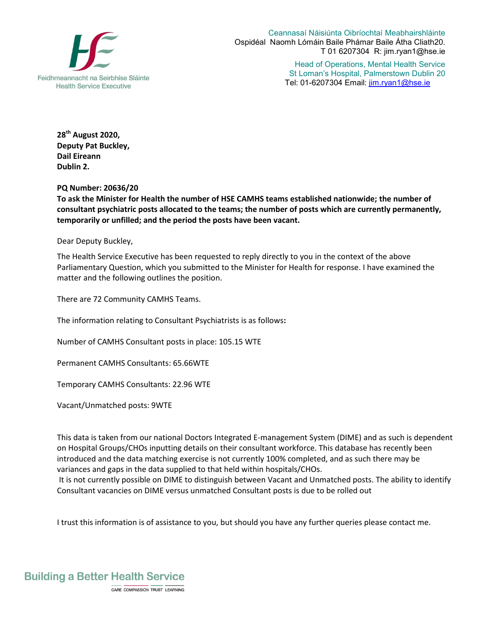

Ceannasaí Náisiúnta Oibríochtaí Meabhairshláinte Ospidéal Naomh Lómáin Baile Phámar Baile Átha Cliath20. T 01 6207304 R: jim.ryan1@hse.ie

> Head of Operations, Mental Health Service St Loman's Hospital, Palmerstown Dublin 20 Tel: 01-6207304 Email: jim.ryan1@hse.ie

**28 th August 2020, Deputy Pat Buckley, Dail Eireann Dublin 2.** 

**PQ Number: 20636/20**

**To ask the Minister for Health the number of HSE CAMHS teams established nationwide; the number of consultant psychiatric posts allocated to the teams; the number of posts which are currently permanently, temporarily or unfilled; and the period the posts have been vacant.**

Dear Deputy Buckley,

The Health Service Executive has been requested to reply directly to you in the context of the above Parliamentary Question, which you submitted to the Minister for Health for response. I have examined the matter and the following outlines the position.

There are 72 Community CAMHS Teams.

The information relating to Consultant Psychiatrists is as follows**:**

Number of CAMHS Consultant posts in place: 105.15 WTE

Permanent CAMHS Consultants: 65.66WTE

Temporary CAMHS Consultants: 22.96 WTE

Vacant/Unmatched posts: 9WTE

This data is taken from our national Doctors Integrated E-management System (DIME) and as such is dependent on Hospital Groups/CHOs inputting details on their consultant workforce. This database has recently been introduced and the data matching exercise is not currently 100% completed, and as such there may be variances and gaps in the data supplied to that held within hospitals/CHOs.

It is not currently possible on DIME to distinguish between Vacant and Unmatched posts. The ability to identify Consultant vacancies on DIME versus unmatched Consultant posts is due to be rolled out

I trust this information is of assistance to you, but should you have any further queries please contact me.